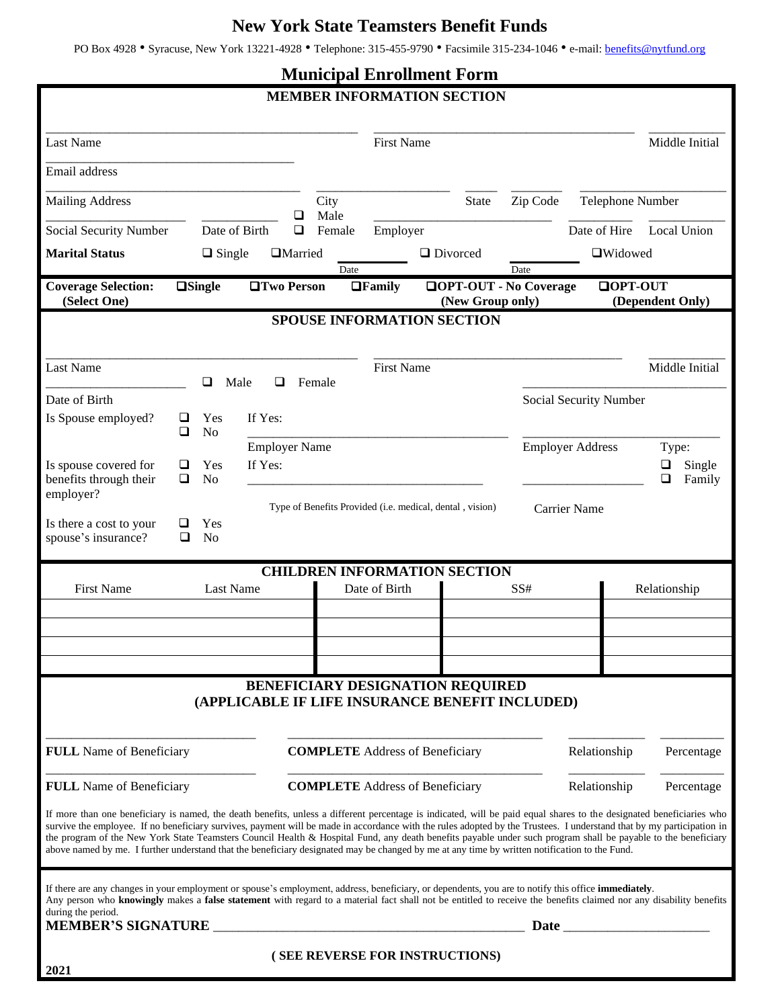## **New York State Teamsters Benefit Funds**

PO Box 4928 • Syracuse, New York 13221-4928 • Telephone: 315-455-9790 • Facsimile 315-234-1046 • e-mail: [benefits@nytfund.org](mailto:benefits@nytfund.org)

## **Municipal Enrollment Form**

| <b>MEMBER INFORMATION SECTION</b>                                                                                                                                                                                                                                                                                                                                                                                                                                                                                                                                                                                                                               |                                         |                                            |                   |        |                   |  |                                                          |                |                         |                           |
|-----------------------------------------------------------------------------------------------------------------------------------------------------------------------------------------------------------------------------------------------------------------------------------------------------------------------------------------------------------------------------------------------------------------------------------------------------------------------------------------------------------------------------------------------------------------------------------------------------------------------------------------------------------------|-----------------------------------------|--------------------------------------------|-------------------|--------|-------------------|--|----------------------------------------------------------|----------------|-------------------------|---------------------------|
| <b>Last Name</b>                                                                                                                                                                                                                                                                                                                                                                                                                                                                                                                                                                                                                                                |                                         |                                            |                   |        | <b>First Name</b> |  |                                                          |                |                         | Middle Initial            |
| Email address                                                                                                                                                                                                                                                                                                                                                                                                                                                                                                                                                                                                                                                   |                                         |                                            |                   |        |                   |  |                                                          |                |                         |                           |
| <b>Mailing Address</b>                                                                                                                                                                                                                                                                                                                                                                                                                                                                                                                                                                                                                                          |                                         |                                            | City<br>Male<br>⊔ |        |                   |  | <b>State</b>                                             | Zip Code       | Telephone Number        |                           |
| Social Security Number                                                                                                                                                                                                                                                                                                                                                                                                                                                                                                                                                                                                                                          | Date of Birth                           |                                            | $\Box$            | Female | Employer          |  |                                                          |                | Date of Hire            | <b>Local Union</b>        |
| <b>Marital Status</b>                                                                                                                                                                                                                                                                                                                                                                                                                                                                                                                                                                                                                                           | $\Box$ Single                           |                                            | <b>I</b> Married  | Date   |                   |  | $\Box$ Divorced                                          | Date           | □Widowed                |                           |
| <b>Coverage Selection:</b><br>$\square$ Single<br><b>□Two Person</b><br><b>QOPT-OUT - No Coverage</b><br>$\Box$ Family<br>(Select One)<br>(New Group only)                                                                                                                                                                                                                                                                                                                                                                                                                                                                                                      |                                         |                                            |                   |        |                   |  |                                                          | $\Box$ OPT-OUT | (Dependent Only)        |                           |
| <b>SPOUSE INFORMATION SECTION</b>                                                                                                                                                                                                                                                                                                                                                                                                                                                                                                                                                                                                                               |                                         |                                            |                   |        |                   |  |                                                          |                |                         |                           |
| <b>Last Name</b><br>Date of Birth                                                                                                                                                                                                                                                                                                                                                                                                                                                                                                                                                                                                                               | ❏<br>Male                               | ப                                          | Female            |        | <b>First Name</b> |  |                                                          |                | Social Security Number  | Middle Initial            |
| Is Spouse employed?<br>◻<br>Is spouse covered for<br>ப                                                                                                                                                                                                                                                                                                                                                                                                                                                                                                                                                                                                          | Yes<br>N <sub>o</sub><br>Yes            | If Yes:<br><b>Employer Name</b><br>If Yes: |                   |        |                   |  |                                                          |                | <b>Employer Address</b> | Type:<br>Single<br>$\Box$ |
| benefits through their<br>◻<br>employer?<br>Is there a cost to your<br>spouse's insurance?<br>❏                                                                                                                                                                                                                                                                                                                                                                                                                                                                                                                                                                 | N <sub>o</sub><br>Yes<br>N <sub>o</sub> |                                            |                   |        |                   |  | Type of Benefits Provided (i.e. medical, dental, vision) |                | Carrier Name            | ❏<br>Family               |
| <b>CHILDREN INFORMATION SECTION</b><br><b>First Name</b><br><b>Last Name</b><br>Date of Birth<br>SS#<br>Relationship                                                                                                                                                                                                                                                                                                                                                                                                                                                                                                                                            |                                         |                                            |                   |        |                   |  |                                                          |                |                         |                           |
|                                                                                                                                                                                                                                                                                                                                                                                                                                                                                                                                                                                                                                                                 |                                         |                                            |                   |        |                   |  |                                                          |                |                         |                           |
|                                                                                                                                                                                                                                                                                                                                                                                                                                                                                                                                                                                                                                                                 |                                         |                                            |                   |        |                   |  |                                                          |                |                         |                           |
|                                                                                                                                                                                                                                                                                                                                                                                                                                                                                                                                                                                                                                                                 |                                         |                                            |                   |        |                   |  |                                                          |                |                         |                           |
| <b>BENEFICIARY DESIGNATION REQUIRED</b><br>(APPLICABLE IF LIFE INSURANCE BENEFIT INCLUDED)                                                                                                                                                                                                                                                                                                                                                                                                                                                                                                                                                                      |                                         |                                            |                   |        |                   |  |                                                          |                |                         |                           |
| <b>FULL</b> Name of Beneficiary                                                                                                                                                                                                                                                                                                                                                                                                                                                                                                                                                                                                                                 |                                         | <b>COMPLETE</b> Address of Beneficiary     |                   |        |                   |  |                                                          | Relationship   | Percentage              |                           |
| <b>FULL</b> Name of Beneficiary                                                                                                                                                                                                                                                                                                                                                                                                                                                                                                                                                                                                                                 |                                         | <b>COMPLETE</b> Address of Beneficiary     |                   |        |                   |  |                                                          | Relationship   | Percentage              |                           |
| If more than one beneficiary is named, the death benefits, unless a different percentage is indicated, will be paid equal shares to the designated beneficiaries who<br>survive the employee. If no beneficiary survives, payment will be made in accordance with the rules adopted by the Trustees. I understand that by my participation in<br>the program of the New York State Teamsters Council Health & Hospital Fund, any death benefits payable under such program shall be payable to the beneficiary<br>above named by me. I further understand that the beneficiary designated may be changed by me at any time by written notification to the Fund. |                                         |                                            |                   |        |                   |  |                                                          |                |                         |                           |
| If there are any changes in your employment or spouse's employment, address, beneficiary, or dependents, you are to notify this office immediately.<br>Any person who knowingly makes a false statement with regard to a material fact shall not be entitled to receive the benefits claimed nor any disability benefits<br>during the period.                                                                                                                                                                                                                                                                                                                  |                                         |                                            |                   |        |                   |  |                                                          |                |                         |                           |
| 2021                                                                                                                                                                                                                                                                                                                                                                                                                                                                                                                                                                                                                                                            |                                         |                                            |                   |        |                   |  | (SEE REVERSE FOR INSTRUCTIONS)                           |                |                         |                           |